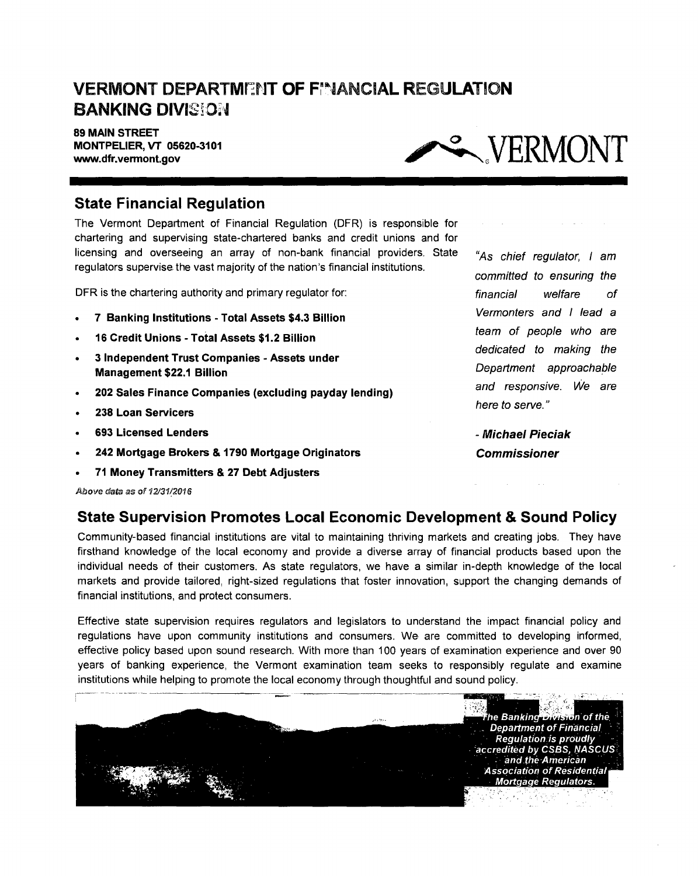# **VERMONT DEPARTMENT OF FIANCIAL REGULATION BANKING DIVISION**

**89 MAIN STREET MONTPELIER, VT 05620-3101** 



#### **State Financial Regulation**

The Vermont Department of Financial Regulation (DFR) is responsible for chartering and supervising state-chartered banks and credit unions and for licensing and overseeing an array of non-bank financial providers. State regulators supervise the vast majority of the nation's financial institutions.

DFR is the chartering authority and primary regulator for:

- **7 Banking Institutions Total Assets \$4.3 Billion**
- **16 Credit Unions Total Assets \$1.2 Billion**
- **3 Independent Trust Companies Assets under Management \$22.1 Billion**
- **202 Sales Finance Companies (excluding payday lending)**
- **238 Loan Servicers**
- **693 Licensed Lenders**
- **242 Mortgage Brokers & 1790 Mortgage Originators**
- **71 Money Transmitters & 27 Debt Adjusters**

Above data as of 12/31/2016

### **State Supervision Promotes Local Economic Development & Sound Policy**

Community-based financial institutions are vital to maintaining thriving markets and creating jobs. They have firsthand knowledge of the local economy and provide a diverse array of financial products based upon the individual needs of their customers. As state regulators, we have a similar in-depth knowledge of the local markets and provide tailored, right-sized regulations that foster innovation, support the changing demands of financial institutions, and protect consumers.

Effective state supervision requires regulators and legislators to understand the impact financial policy and regulations have upon community institutions and consumers. We are committed to developing informed, effective policy based upon sound research. With more than 100 years of examination experience and over 90 years of banking experience, the Vermont examination team seeks to responsibly regulate and examine institutions while helping to promote the local economy through thoughtful and sound policy.



"As chief regulator, I am committed to ensuring the financial welfare of Vermonters and I lead a team of people who are dedicated to making the Department approachable and responsive. We are here to serve."

**- Michael Pieciak Commissioner** 

 $\sim$   $\sim$